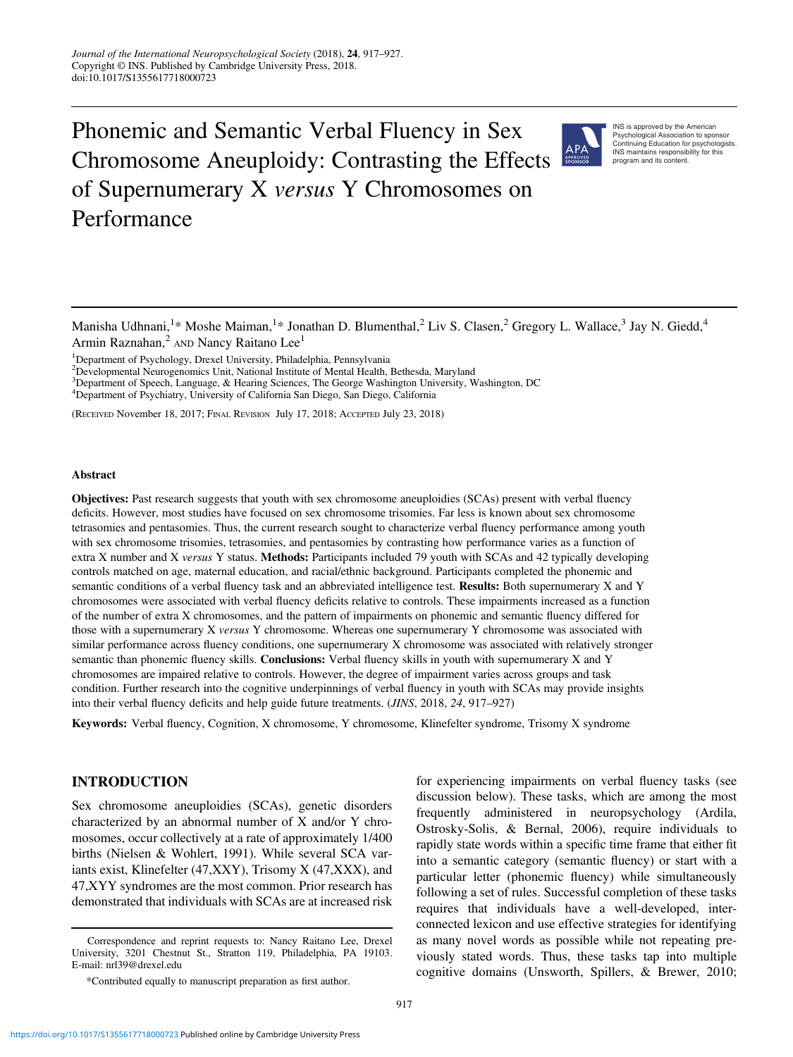# Phonemic and Semantic Verbal Fluency in Sex Chromosome Aneuploidy: Contrasting the Effects of Supernumerary X versus Y Chromosomes on Performance



INS is approved by the American Psychological Association to sponsor Continuing Education for psychologists. INS maintains responsibility for this program and its content.

Manisha Udhnani,<sup>1\*</sup> Moshe Maiman,<sup>1\*</sup> Jonathan D. Blumenthal,<sup>2</sup> Liv S. Clasen,<sup>2</sup> Gregory L. Wallace,<sup>3</sup> Jay N. Giedd,<sup>4</sup> Armin Raznahan,<sup>2</sup> AND Nancy Raitano Lee<sup>1</sup>

<sup>1</sup>Department of Psychology, Drexel University, Philadelphia, Pennsylvania

<sup>2</sup>Developmental Neurogenomics Unit, National Institute of Mental Health, Bethesda, Maryland

<sup>3</sup>Department of Speech, Language, & Hearing Sciences, The George Washington University, Washington, DC

4 Department of Psychiatry, University of California San Diego, San Diego, California

(RECEIVED November 18, 2017; FINAL REVISION July 17, 2018; ACCEPTED July 23, 2018)

#### Abstract

Objectives: Past research suggests that youth with sex chromosome aneuploidies (SCAs) present with verbal fluency deficits. However, most studies have focused on sex chromosome trisomies. Far less is known about sex chromosome tetrasomies and pentasomies. Thus, the current research sought to characterize verbal fluency performance among youth with sex chromosome trisomies, tetrasomies, and pentasomies by contrasting how performance varies as a function of extra X number and X versus Y status. Methods: Participants included 79 youth with SCAs and 42 typically developing controls matched on age, maternal education, and racial/ethnic background. Participants completed the phonemic and semantic conditions of a verbal fluency task and an abbreviated intelligence test. Results: Both supernumerary X and Y chromosomes were associated with verbal fluency deficits relative to controls. These impairments increased as a function of the number of extra X chromosomes, and the pattern of impairments on phonemic and semantic fluency differed for those with a supernumerary X versus Y chromosome. Whereas one supernumerary Y chromosome was associated with similar performance across fluency conditions, one supernumerary X chromosome was associated with relatively stronger semantic than phonemic fluency skills. Conclusions: Verbal fluency skills in youth with supernumerary X and Y chromosomes are impaired relative to controls. However, the degree of impairment varies across groups and task condition. Further research into the cognitive underpinnings of verbal fluency in youth with SCAs may provide insights into their verbal fluency deficits and help guide future treatments. (JINS, 2018, 24, 917–927)

Keywords: Verbal fluency, Cognition, X chromosome, Y chromosome, Klinefelter syndrome, Trisomy X syndrome

## INTRODUCTION

Sex chromosome aneuploidies (SCAs), genetic disorders characterized by an abnormal number of X and/or Y chromosomes, occur collectively at a rate of approximately 1/400 births (Nielsen & Wohlert, [1991\)](#page-9-0). While several SCA variants exist, Klinefelter (47,XXY), Trisomy X (47,XXX), and 47,XYY syndromes are the most common. Prior research has demonstrated that individuals with SCAs are at increased risk

for experiencing impairments on verbal fluency tasks (see discussion below). These tasks, which are among the most frequently administered in neuropsychology (Ardila, Ostrosky-Solis, & Bernal, [2006](#page-8-0)), require individuals to rapidly state words within a specific time frame that either fit into a semantic category (semantic fluency) or start with a particular letter (phonemic fluency) while simultaneously following a set of rules. Successful completion of these tasks requires that individuals have a well-developed, interconnected lexicon and use effective strategies for identifying as many novel words as possible while not repeating previously stated words. Thus, these tasks tap into multiple cognitive domains (Unsworth, Spillers, & Brewer, [2010](#page-10-0);

Correspondence and reprint requests to: Nancy Raitano Lee, Drexel University, 3201 Chestnut St., Stratton 119, Philadelphia, PA 19103. E-mail: [nrl39@drexel.edu](mailto:nrl39@drexel.edu)

<sup>\*</sup>Contributed equally to manuscript preparation as first author.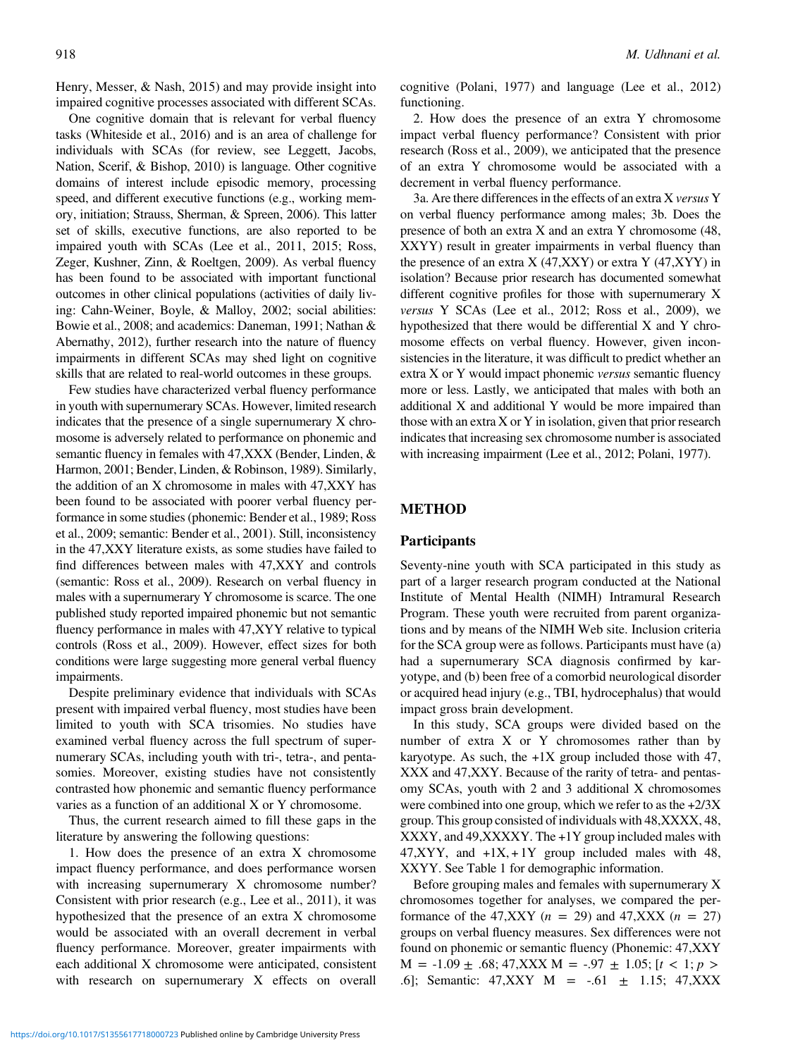Henry, Messer, & Nash, [2015](#page-9-0)) and may provide insight into impaired cognitive processes associated with different SCAs.

One cognitive domain that is relevant for verbal fluency tasks (Whiteside et al., [2016](#page-10-0)) and is an area of challenge for individuals with SCAs (for review, see Leggett, Jacobs, Nation, Scerif, & Bishop, [2010](#page-9-0)) is language. Other cognitive domains of interest include episodic memory, processing speed, and different executive functions (e.g., working memory, initiation; Strauss, Sherman, & Spreen, [2006](#page-10-0)). This latter set of skills, executive functions, are also reported to be impaired youth with SCAs (Lee et al., [2011, 2015](#page-9-0); Ross, Zeger, Kushner, Zinn, & Roeltgen, [2009](#page-9-0)). As verbal fluency has been found to be associated with important functional outcomes in other clinical populations (activities of daily living: Cahn-Weiner, Boyle, & Malloy, [2002;](#page-9-0) social abilities: Bowie et al., [2008;](#page-9-0) and academics: Daneman, [1991](#page-9-0); Nathan & Abernathy, [2012\)](#page-9-0), further research into the nature of fluency impairments in different SCAs may shed light on cognitive skills that are related to real-world outcomes in these groups.

Few studies have characterized verbal fluency performance in youth with supernumerary SCAs. However, limited research indicates that the presence of a single supernumerary X chromosome is adversely related to performance on phonemic and semantic fluency in females with 47, XXX (Bender, Linden, & Harmon, [2001](#page-8-0); Bender, Linden, & Robinson, [1989](#page-8-0)). Similarly, the addition of an X chromosome in males with 47,XXY has been found to be associated with poorer verbal fluency performance in some studies (phonemic: Bender et al., [1989](#page-8-0); Ross et al., [2009](#page-9-0); semantic: Bender et al., [2001](#page-8-0)). Still, inconsistency in the 47,XXY literature exists, as some studies have failed to find differences between males with 47,XXY and controls (semantic: Ross et al., [2009](#page-9-0)). Research on verbal fluency in males with a supernumerary Y chromosome is scarce. The one published study reported impaired phonemic but not semantic fluency performance in males with 47,XYY relative to typical controls (Ross et al., [2009](#page-9-0)). However, effect sizes for both conditions were large suggesting more general verbal fluency impairments.

Despite preliminary evidence that individuals with SCAs present with impaired verbal fluency, most studies have been limited to youth with SCA trisomies. No studies have examined verbal fluency across the full spectrum of supernumerary SCAs, including youth with tri-, tetra-, and pentasomies. Moreover, existing studies have not consistently contrasted how phonemic and semantic fluency performance varies as a function of an additional X or Y chromosome.

Thus, the current research aimed to fill these gaps in the literature by answering the following questions:

1. How does the presence of an extra X chromosome impact fluency performance, and does performance worsen with increasing supernumerary X chromosome number? Consistent with prior research (e.g., Lee et al., [2011\)](#page-9-0), it was hypothesized that the presence of an extra X chromosome would be associated with an overall decrement in verbal fluency performance. Moreover, greater impairments with each additional X chromosome were anticipated, consistent with research on supernumerary X effects on overall

cognitive (Polani, [1977](#page-9-0)) and language (Lee et al., [2012\)](#page-9-0) functioning.

2. How does the presence of an extra Y chromosome impact verbal fluency performance? Consistent with prior research (Ross et al., [2009\)](#page-9-0), we anticipated that the presence of an extra Y chromosome would be associated with a decrement in verbal fluency performance.

3a. Are there differences in the effects of an extra X versus Y on verbal fluency performance among males; 3b. Does the presence of both an extra X and an extra Y chromosome (48, XXYY) result in greater impairments in verbal fluency than the presence of an extra  $X$  (47, XXY) or extra  $Y$  (47, XYY) in isolation? Because prior research has documented somewhat different cognitive profiles for those with supernumerary X versus Y SCAs (Lee et al., [2012](#page-9-0); Ross et al., [2009](#page-9-0)), we hypothesized that there would be differential X and Y chromosome effects on verbal fluency. However, given inconsistencies in the literature, it was difficult to predict whether an extra X or Y would impact phonemic versus semantic fluency more or less. Lastly, we anticipated that males with both an additional X and additional Y would be more impaired than those with an extra  $X$  or  $Y$  in isolation, given that prior research indicates that increasing sex chromosome number is associated with increasing impairment (Lee et al., [2012](#page-9-0); Polani, [1977](#page-9-0)).

# **METHOD**

#### **Participants**

Seventy-nine youth with SCA participated in this study as part of a larger research program conducted at the National Institute of Mental Health (NIMH) Intramural Research Program. These youth were recruited from parent organizations and by means of the NIMH Web site. Inclusion criteria for the SCA group were as follows. Participants must have (a) had a supernumerary SCA diagnosis confirmed by karyotype, and (b) been free of a comorbid neurological disorder or acquired head injury (e.g., TBI, hydrocephalus) that would impact gross brain development.

In this study, SCA groups were divided based on the number of extra X or Y chromosomes rather than by karyotype. As such, the  $+1X$  group included those with 47, XXX and 47,XXY. Because of the rarity of tetra- and pentasomy SCAs, youth with 2 and 3 additional X chromosomes were combined into one group, which we refer to as the +2/3X group. This group consisted of individuals with 48,XXXX, 48, XXXY, and 49,XXXXY. The +1Y group included males with 47, XYY, and  $+1X$ ,  $+1Y$  group included males with 48, XXYY. See [Table 1](#page-2-0) for demographic information.

Before grouping males and females with supernumerary X chromosomes together for analyses, we compared the performance of the 47, XXY ( $n = 29$ ) and 47, XXX ( $n = 27$ ) groups on verbal fluency measures. Sex differences were not found on phonemic or semantic fluency (Phonemic: 47,XXY  $M = -1.09 \pm .68$ ; 47,XXX  $M = -0.97 \pm 1.05$ ; [ $t < 1$ ;  $p >$ .6]; Semantic: 47,XXY M = -.61 ± 1.15; 47,XXX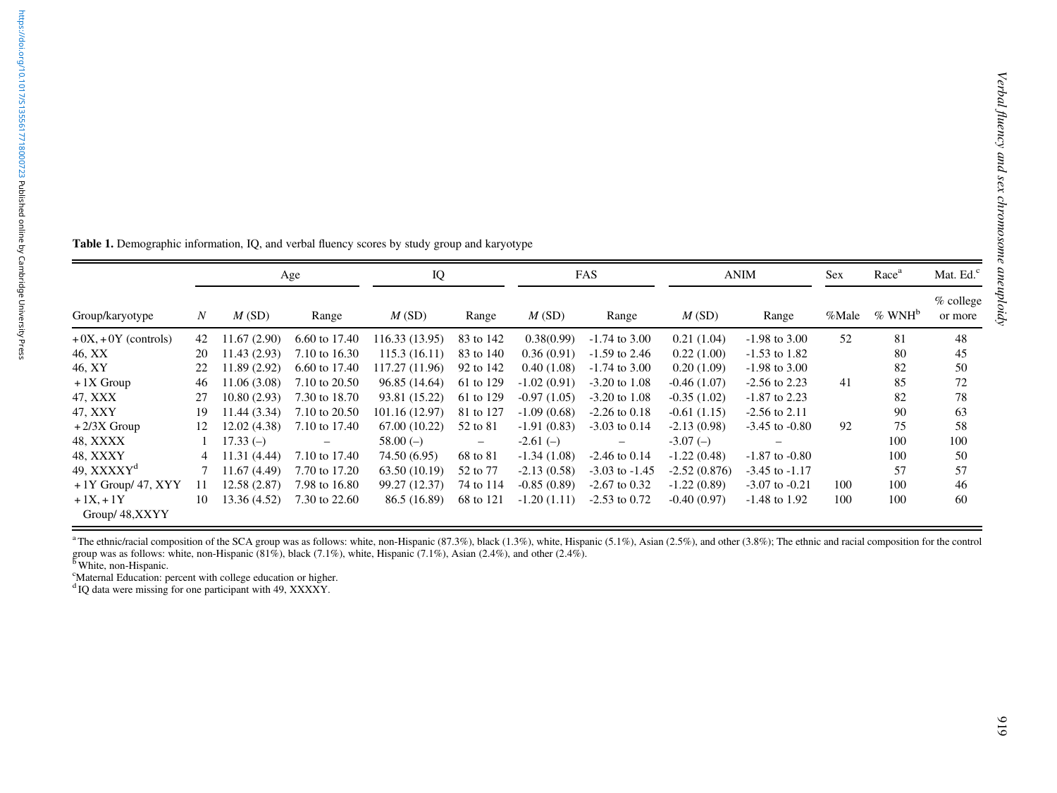<span id="page-2-0"></span>Table 1. Demographic information, IQ, and verbal fluency scores by study group and karyotype

| Group/karyotype             | Age              |               |                          | IQ             |                          | <b>FAS</b>    |                          | <b>ANIM</b>    |                    | <b>Sex</b> | Race <sup>a</sup>     | Mat. Ed. <sup>c</sup> |
|-----------------------------|------------------|---------------|--------------------------|----------------|--------------------------|---------------|--------------------------|----------------|--------------------|------------|-----------------------|-----------------------|
|                             | $\boldsymbol{N}$ | M(SD)         | Range                    | M(SD)          | Range                    | M(SD)         | Range                    | M(SD)          | Range              | %Male      | $\%$ WNH <sup>b</sup> | % college<br>or more  |
| $+0X, +0Y$ (controls)       | 42               | 11.67 (2.90)  | 6.60 to 17.40            | 116.33 (13.95) | 83 to 142                | 0.38(0.99)    | $-1.74$ to 3.00          | 0.21(1.04)     | $-1.98$ to 3.00    | 52         | 81                    | 48                    |
| 46, XX                      | 20               | 11.43 (2.93)  | 7.10 to 16.30            | 115.3(16.11)   | 83 to 140                | 0.36(0.91)    | $-1.59$ to 2.46          | 0.22(1.00)     | $-1.53$ to $1.82$  |            | 80                    | 45                    |
| 46, XY                      | 22               | 11.89 (2.92)  | 6.60 to 17.40            | 117.27 (11.96) | 92 to 142                | 0.40(1.08)    | $-1.74$ to 3.00          | 0.20(1.09)     | $-1.98$ to 3.00    |            | 82                    | 50                    |
| $+1X$ Group                 | 46               | 11.06 (3.08)  | 7.10 to 20.50            | 96.85 (14.64)  | 61 to 129                | $-1.02(0.91)$ | $-3.20$ to $1.08$        | $-0.46(1.07)$  | $-2.56$ to 2.23    | 41         | 85                    | 72                    |
| 47, XXX                     | 27               | 10.80(2.93)   | 7.30 to 18.70            | 93.81 (15.22)  | 61 to 129                | $-0.97(1.05)$ | $-3.20$ to $1.08$        | $-0.35(1.02)$  | $-1.87$ to 2.23    |            | 82                    | 78                    |
| 47, XXY                     | 19               | 11.44 (3.34)  | 7.10 to 20.50            | 101.16 (12.97) | 81 to 127                | $-1.09(0.68)$ | $-2.26$ to 0.18          | $-0.61(1.15)$  | $-2.56$ to $2.11$  |            | 90                    | 63                    |
| $+2/3X$ Group               | 12               | 12.02 (4.38)  | 7.10 to 17.40            | 67.00(10.22)   | 52 to 81                 | $-1.91(0.83)$ | $-3.03$ to 0.14          | $-2.13(0.98)$  | $-3.45$ to $-0.80$ | 92         | 75                    | 58                    |
| 48, XXXX                    |                  | $17.33(-)$    | $\overline{\phantom{m}}$ | $58.00(-)$     | $\overline{\phantom{m}}$ | $-2.61(-)$    | $\overline{\phantom{m}}$ | $-3.07(-)$     |                    |            | 100                   | 100                   |
| 48, XXXY                    |                  | (4.44) (1.31) | 7.10 to 17.40            | 74.50 (6.95)   | 68 to 81                 | $-1.34(1.08)$ | $-2.46$ to 0.14          | $-1.22(0.48)$  | $-1.87$ to $-0.80$ |            | 100                   | 50                    |
| 49, $XXXXYd$                |                  | (1.67 (4.49)  | 7.70 to 17.20            | 63.50 (10.19)  | 52 to 77                 | $-2.13(0.58)$ | $-3.03$ to $-1.45$       | $-2.52(0.876)$ | $-3.45$ to $-1.17$ |            | 57                    | 57                    |
| $+1Y$ Group/ 47, XYY        | 11               | 12.58 (2.87)  | 7.98 to 16.80            | 99.27 (12.37)  | 74 to 114                | $-0.85(0.89)$ | $-2.67$ to 0.32          | $-1.22(0.89)$  | $-3.07$ to $-0.21$ | 100        | 100                   | 46                    |
| $+1X + 1Y$<br>Group/48,XXYY | 10               | 13.36 (4.52)  | 7.30 to 22.60            | 86.5 (16.89)   | 68 to 121                | $-1.20(1.11)$ | $-2.53$ to 0.72          | $-0.40(0.97)$  | $-1.48$ to $1.92$  | 100        | 100                   | 60                    |

<sup>a</sup> The ethnic/racial composition of the SCA group was as follows: white, non-Hispanic (87.3%), black (1.3%), white, Hispanic (5.1%), Asian (2.5%), and other (3.8%); The ethnic and racial composition for the control group was as follows: white, non-Hispanic (81%), black (7.1%), white, Hispanic (7.1%), Asian (2.4%), and other (2.4%).

<sup>b</sup> White, non-Hispanic.

<sup>c</sup>Maternal Education: percent with college education or higher.

<sup>d</sup> IQ data were missing for one participant with 49, XXXXY.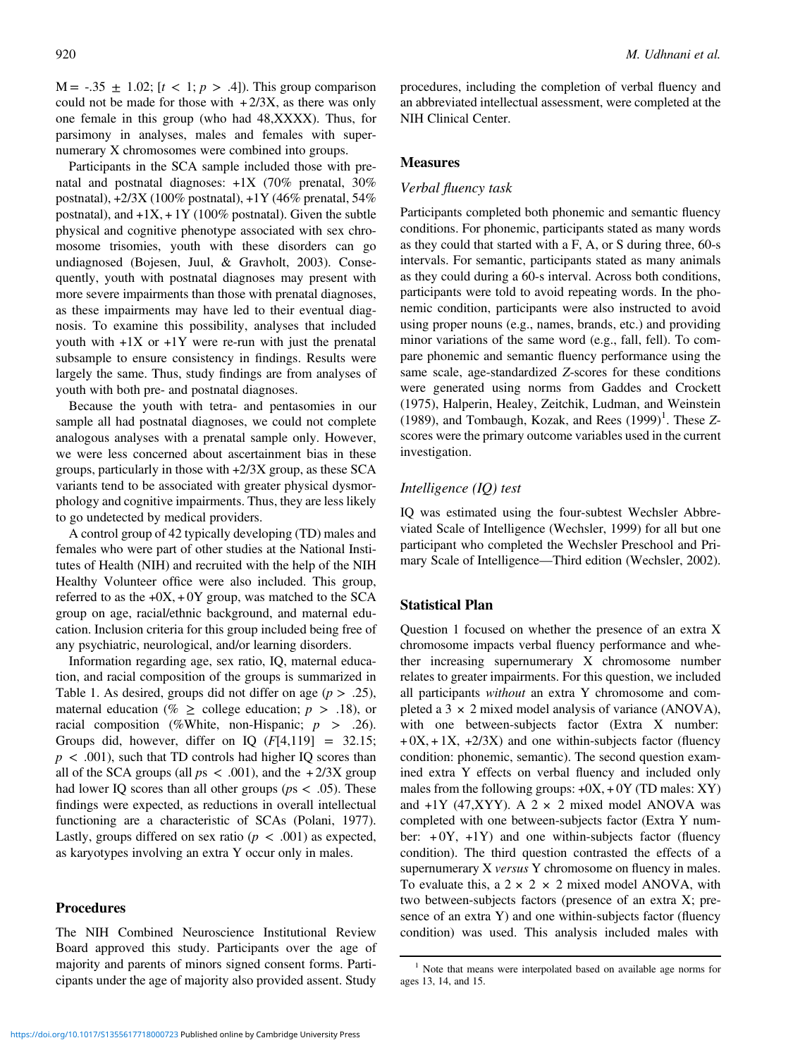$M = -.35 \pm 1.02$ ;  $[t < 1; p > .4]$ ). This group comparison could not be made for those with  $+2/3X$ , as there was only one female in this group (who had 48,XXXX). Thus, for parsimony in analyses, males and females with supernumerary X chromosomes were combined into groups.

Participants in the SCA sample included those with prenatal and postnatal diagnoses: +1X (70% prenatal, 30% postnatal), +2/3X (100% postnatal), +1Y (46% prenatal, 54% postnatal), and  $+1X$ ,  $+1Y$  (100% postnatal). Given the subtle physical and cognitive phenotype associated with sex chromosome trisomies, youth with these disorders can go undiagnosed (Bojesen, Juul, & Gravholt, [2003](#page-9-0)). Consequently, youth with postnatal diagnoses may present with more severe impairments than those with prenatal diagnoses, as these impairments may have led to their eventual diagnosis. To examine this possibility, analyses that included youth with  $+1X$  or  $+1Y$  were re-run with just the prenatal subsample to ensure consistency in findings. Results were largely the same. Thus, study findings are from analyses of youth with both pre- and postnatal diagnoses.

Because the youth with tetra- and pentasomies in our sample all had postnatal diagnoses, we could not complete analogous analyses with a prenatal sample only. However, we were less concerned about ascertainment bias in these groups, particularly in those with +2/3X group, as these SCA variants tend to be associated with greater physical dysmorphology and cognitive impairments. Thus, they are less likely to go undetected by medical providers.

A control group of 42 typically developing (TD) males and females who were part of other studies at the National Institutes of Health (NIH) and recruited with the help of the NIH Healthy Volunteer office were also included. This group, referred to as the  $+0X, +0Y$  group, was matched to the SCA group on age, racial/ethnic background, and maternal education. Inclusion criteria for this group included being free of any psychiatric, neurological, and/or learning disorders.

Information regarding age, sex ratio, IQ, maternal education, and racial composition of the groups is summarized in [Table 1](#page-2-0). As desired, groups did not differ on age ( $p > .25$ ), maternal education (%  $\geq$  college education;  $p > .18$ ), or racial composition (%White, non-Hispanic;  $p > .26$ ). Groups did, however, differ on IQ  $(F[4,119] = 32.15;$  $p < .001$ ), such that TD controls had higher IQ scores than all of the SCA groups (all  $ps < .001$ ), and the  $+2/3X$  group had lower IQ scores than all other groups ( $ps < .05$ ). These findings were expected, as reductions in overall intellectual functioning are a characteristic of SCAs (Polani, [1977](#page-9-0)). Lastly, groups differed on sex ratio ( $p < .001$ ) as expected, as karyotypes involving an extra Y occur only in males.

#### **Procedures**

The NIH Combined Neuroscience Institutional Review Board approved this study. Participants over the age of majority and parents of minors signed consent forms. Participants under the age of majority also provided assent. Study

procedures, including the completion of verbal fluency and an abbreviated intellectual assessment, were completed at the NIH Clinical Center.

#### **Measures**

# Verbal fluency task

Participants completed both phonemic and semantic fluency conditions. For phonemic, participants stated as many words as they could that started with a F, A, or S during three, 60-s intervals. For semantic, participants stated as many animals as they could during a 60-s interval. Across both conditions, participants were told to avoid repeating words. In the phonemic condition, participants were also instructed to avoid using proper nouns (e.g., names, brands, etc.) and providing minor variations of the same word (e.g., fall, fell). To compare phonemic and semantic fluency performance using the same scale, age-standardized Z-scores for these conditions were generated using norms from Gaddes and Crockett [\(1975\)](#page-9-0), Halperin, Healey, Zeitchik, Ludman, and Weinstein [\(1989\)](#page-9-0), and Tombaugh, Kozak, and Rees  $(1999)^{1}$  $(1999)^{1}$ . These Zscores were the primary outcome variables used in the current investigation.

## Intelligence (IQ) test

IQ was estimated using the four-subtest Wechsler Abbreviated Scale of Intelligence (Wechsler, [1999](#page-10-0)) for all but one participant who completed the Wechsler Preschool and Primary Scale of Intelligence—Third edition (Wechsler, [2002](#page-10-0)).

# Statistical Plan

Question 1 focused on whether the presence of an extra X chromosome impacts verbal fluency performance and whether increasing supernumerary X chromosome number relates to greater impairments. For this question, we included all participants without an extra Y chromosome and completed a 3  $\times$  2 mixed model analysis of variance (ANOVA), with one between-subjects factor (Extra X number:  $+ 0X + 1X$ ,  $+ 2/3X$ ) and one within-subjects factor (fluency condition: phonemic, semantic). The second question examined extra Y effects on verbal fluency and included only males from the following groups:  $+0X$ ,  $+0Y$  (TD males: XY) and  $+1Y$  (47, XYY). A 2  $\times$  2 mixed model ANOVA was completed with one between-subjects factor (Extra Y number:  $+0Y$ ,  $+1Y$ ) and one within-subjects factor (fluency condition). The third question contrasted the effects of a supernumerary X *versus* Y chromosome on fluency in males. To evaluate this, a  $2 \times 2 \times 2$  mixed model ANOVA, with two between-subjects factors (presence of an extra X; presence of an extra Y) and one within-subjects factor (fluency condition) was used. This analysis included males with

<sup>&</sup>lt;sup>1</sup> Note that means were interpolated based on available age norms for ages 13, 14, and 15.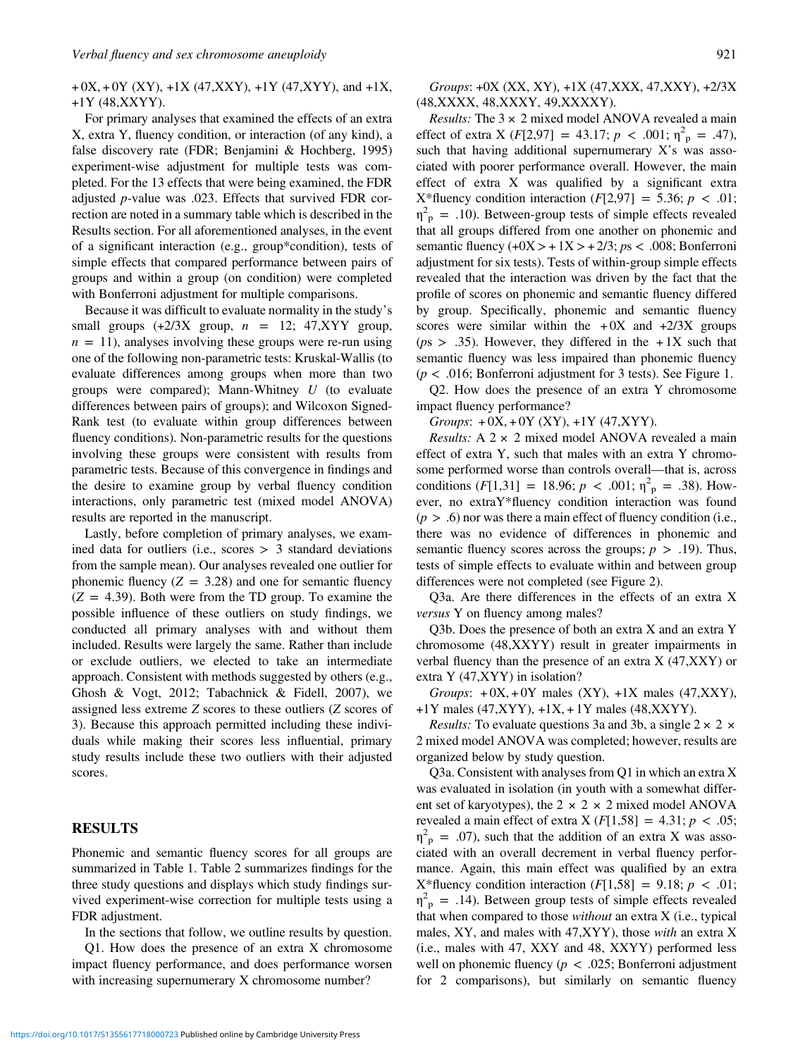$+ 0X, +0Y (XY), +1X (47, XXY), +1Y (47, XYY),$  and  $+1X,$ +1Y (48,XXYY).

For primary analyses that examined the effects of an extra X, extra Y, fluency condition, or interaction (of any kind), a false discovery rate (FDR; Benjamini & Hochberg, [1995\)](#page-9-0) experiment-wise adjustment for multiple tests was completed. For the 13 effects that were being examined, the FDR adjusted p-value was .023. Effects that survived FDR correction are noted in a summary table which is described in the Results section. For all aforementioned analyses, in the event of a significant interaction (e.g., group\*condition), tests of simple effects that compared performance between pairs of groups and within a group (on condition) were completed with Bonferroni adjustment for multiple comparisons.

Because it was difficult to evaluate normality in the study's small groups  $(+2/3X)$  group,  $n = 12$ ; 47,XYY group,  $n = 11$ ), analyses involving these groups were re-run using one of the following non-parametric tests: Kruskal-Wallis (to evaluate differences among groups when more than two groups were compared); Mann-Whitney  $U$  (to evaluate differences between pairs of groups); and Wilcoxon Signed-Rank test (to evaluate within group differences between fluency conditions). Non-parametric results for the questions involving these groups were consistent with results from parametric tests. Because of this convergence in findings and the desire to examine group by verbal fluency condition interactions, only parametric test (mixed model ANOVA) results are reported in the manuscript.

Lastly, before completion of primary analyses, we examined data for outliers (i.e., scores  $> 3$  standard deviations from the sample mean). Our analyses revealed one outlier for phonemic fluency  $(Z = 3.28)$  and one for semantic fluency  $(Z = 4.39)$ . Both were from the TD group. To examine the possible influence of these outliers on study findings, we conducted all primary analyses with and without them included. Results were largely the same. Rather than include or exclude outliers, we elected to take an intermediate approach. Consistent with methods suggested by others (e.g., Ghosh & Vogt, [2012;](#page-9-0) Tabachnick & Fidell, [2007](#page-10-0)), we assigned less extreme Z scores to these outliers (Z scores of 3). Because this approach permitted including these individuals while making their scores less influential, primary study results include these two outliers with their adjusted scores.

# RESULTS

Phonemic and semantic fluency scores for all groups are summarized in [Table 1](#page-2-0). [Table 2](#page-5-0) summarizes findings for the three study questions and displays which study findings survived experiment-wise correction for multiple tests using a FDR adjustment.

In the sections that follow, we outline results by question.

Q1. How does the presence of an extra X chromosome impact fluency performance, and does performance worsen with increasing supernumerary X chromosome number?

Groups: +0X (XX, XY), +1X (47,XXX, 47,XXY), +2/3X (48,XXXX, 48,XXXY, 49,XXXXY).

*Results:* The  $3 \times 2$  mixed model ANOVA revealed a main effect of extra X  $(F[2, 97] = 43.17; p < .001; \eta_{p}^{2} = .47)$ , such that having additional supernumerary  $X$ 's was associated with poorer performance overall. However, the main effect of extra X was qualified by a significant extra X\*fluency condition interaction  $(F[2, 97] = 5.36; p < .01;$  $\eta_{\text{p}}^2$  = .10). Between-group tests of simple effects revealed that all groups differed from one another on phonemic and semantic fluency  $(+0X > +1X > +2/3; ps < .008; Bonferroni$ adjustment for six tests). Tests of within-group simple effects revealed that the interaction was driven by the fact that the profile of scores on phonemic and semantic fluency differed by group. Specifically, phonemic and semantic fluency scores were similar within the  $+0X$  and  $+2/3X$  groups ( $ps > .35$ ). However, they differed in the  $+1X$  such that semantic fluency was less impaired than phonemic fluency  $(p < .016$ ; Bonferroni adjustment for 3 tests). See [Figure 1.](#page-6-0)

Q2. How does the presence of an extra Y chromosome impact fluency performance?

 $Groups: +0X, +0Y (XY), +1Y (47, XYY).$ 

*Results:* A  $2 \times 2$  mixed model ANOVA revealed a main effect of extra Y, such that males with an extra Y chromosome performed worse than controls overall—that is, across conditions  $(F[1,31] = 18.96; p < .001; \eta_{p}^{2} = .38)$ . However, no extraY\*fluency condition interaction was found  $(p > .6)$  nor was there a main effect of fluency condition (i.e., there was no evidence of differences in phonemic and semantic fluency scores across the groups;  $p > .19$ ). Thus, tests of simple effects to evaluate within and between group differences were not completed (see [Figure 2](#page-6-0)).

Q3a. Are there differences in the effects of an extra X versus Y on fluency among males?

Q3b. Does the presence of both an extra X and an extra Y chromosome (48,XXYY) result in greater impairments in verbal fluency than the presence of an extra X (47,XXY) or extra Y (47,XYY) in isolation?

Groups:  $+0X, +0Y$  males  $(XY)$ ,  $+1X$  males  $(47, XXX)$ , +1Y males (47,XYY), +1X, + 1Y males (48,XXYY).

*Results:* To evaluate questions 3a and 3b, a single  $2 \times 2 \times$ 2 mixed model ANOVA was completed; however, results are organized below by study question.

Q3a. Consistent with analyses from Q1 in which an extra X was evaluated in isolation (in youth with a somewhat different set of karyotypes), the  $2 \times 2 \times 2$  mixed model ANOVA revealed a main effect of extra X  $(F[1,58] = 4.31; p < .05;$  $\eta_{\text{p}}^2$  = .07), such that the addition of an extra X was associated with an overall decrement in verbal fluency performance. Again, this main effect was qualified by an extra  $X^*$ fluency condition interaction  $(F[1,58] = 9.18; p < .01;$  $\eta_{\text{p}}^2$  = .14). Between group tests of simple effects revealed that when compared to those without an extra X (i.e., typical males, XY, and males with 47,XYY), those with an extra X (i.e., males with 47, XXY and 48, XXYY) performed less well on phonemic fluency ( $p < .025$ ; Bonferroni adjustment for 2 comparisons), but similarly on semantic fluency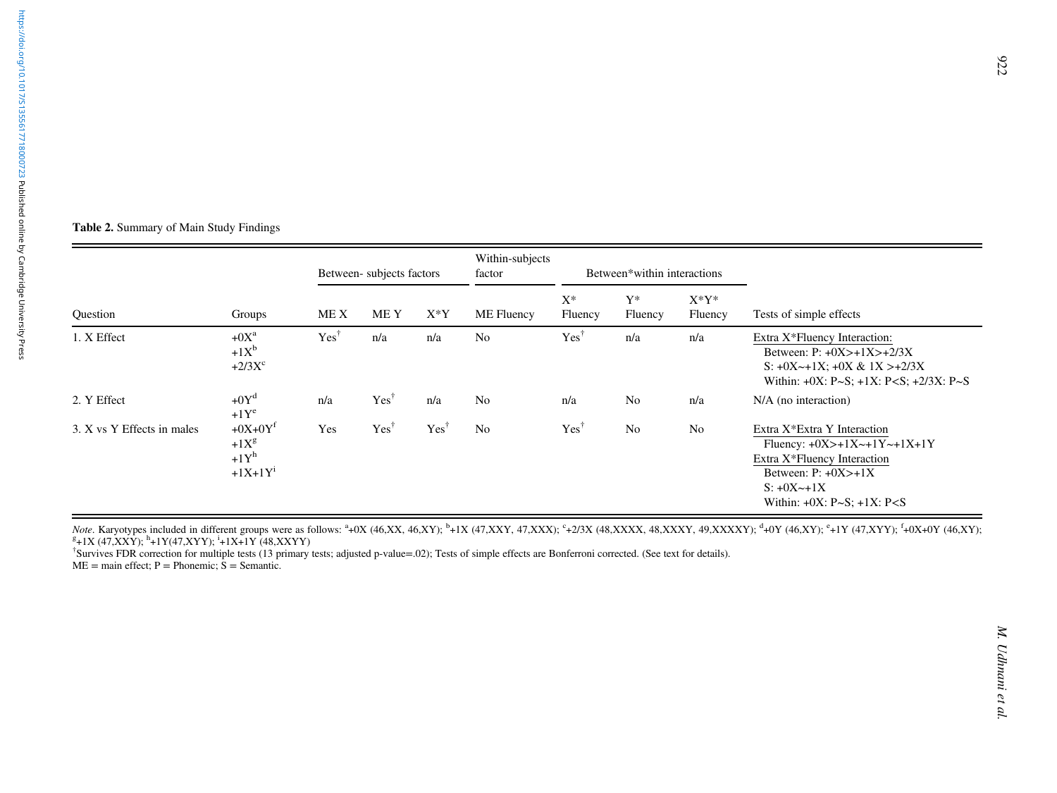#### <span id="page-5-0"></span>Table 2. Summary of Main Study Findings

|                            |                                               | Between-subjects factors |                                     |        | Within-subjects<br>factor | Between*within interactions |                  |                     |                                                                                                                                                                           |  |  |
|----------------------------|-----------------------------------------------|--------------------------|-------------------------------------|--------|---------------------------|-----------------------------|------------------|---------------------|---------------------------------------------------------------------------------------------------------------------------------------------------------------------------|--|--|
| Question                   | Groups                                        | ME X<br>ME Y             |                                     | $X^*Y$ | <b>ME</b> Fluency         | $X^*$<br>Fluency            | $Y^*$<br>Fluency | $X^*Y^*$<br>Fluency | Tests of simple effects                                                                                                                                                   |  |  |
| 1. X Effect                | $+0X^a$<br>$+1X^b$<br>$+2/3X^c$               | $Yes^{\dagger}$          | n/a                                 | n/a    | N <sub>0</sub>            | $Yes^{\dagger}$             | n/a              | n/a                 | Extra X*Fluency Interaction:<br>Between: P: $+0X>+1X>+2/3X$<br>S: $+0X^{-1}X$ ; $+0X & 1X > +2/3X$<br>Within: $+0X$ : P $\sim$ S; $+1X$ : P $\lt$ S; $+2/3X$ : P $\sim$ S |  |  |
| 2. Y Effect                | $+0Yd$<br>$+1Y^e$                             | n/a                      | Yes <sup>†</sup>                    | n/a    | No                        | n/a                         | N <sub>o</sub>   | n/a                 | N/A (no interaction)                                                                                                                                                      |  |  |
| 3. X vs Y Effects in males | $+0X+0Yf$<br>$+1X^g$<br>$+1Y^h$<br>$+1X+1Y^i$ | Yes                      | $Yes^{\dagger}$<br>Yes <sup>†</sup> |        | No                        | $Yes^{\dagger}$             | No               | N <sub>o</sub>      | Extra X*Extra Y Interaction<br>Fluency: $+0X>+1X-1Y-1X+1Y$<br>Extra X*Fluency Interaction<br>Between: $P: +0X>+1X$<br>$S: +0X^{-}+1X$<br>Within: $+0X: P-S$ ; $+1X: P$    |  |  |

*Note.* Karyotypes included in different groups were as follows:  $40X$  (46,XX, 46,XY);  $\frac{b}{1}$ +1X (47,XXY, 47,XXX);  $\frac{c}{1}$ +2/3X (48,XXXX, 48,XXXY, 49,XXXXY);  $\frac{d}{1}$ +0Y (46,XY);  $\frac{c}{1}$ +1Y (47,XYY);  $\frac{f}{1}$ +0X+  $^{g}$ +1X (47,XXY); <sup>h</sup>+1Y(47,XYY); <sup>i</sup>+1X+1Y (48,XXYY)

<sup>†</sup>Survives FDR correction for multiple tests (13 primary tests; adjusted p-value=.02); Tests of simple effects are Bonferroni corrected. (See text for details).  $ME = \text{main effect}$ ;  $P = \text{Phonemic}$ ;  $S = \text{Semantic}$ .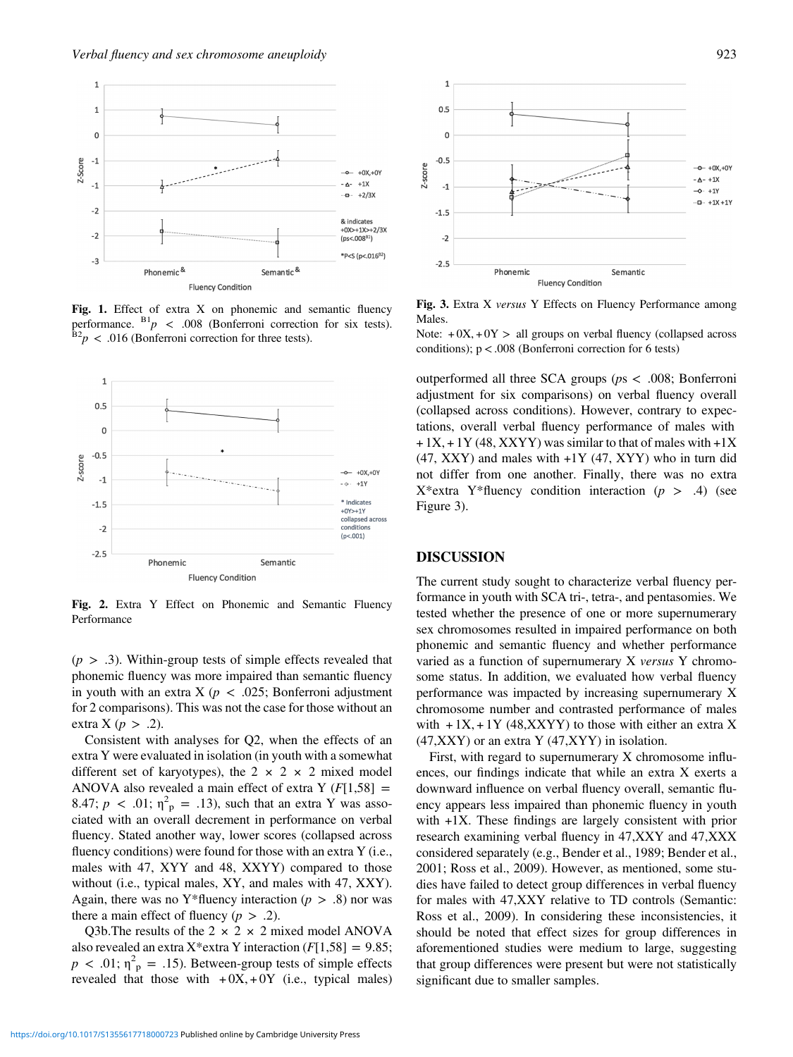<span id="page-6-0"></span>

Fig. 1. Effect of extra X on phonemic and semantic fluency performance.  $B1_p < .008$  (Bonferroni correction for six tests).  $B2_p < .016$  (Bonferroni correction for three tests).



Fig. 2. Extra Y Effect on Phonemic and Semantic Fluency Performance

 $(p > .3)$ . Within-group tests of simple effects revealed that phonemic fluency was more impaired than semantic fluency in youth with an extra  $X$  ( $p < .025$ ; Bonferroni adjustment for 2 comparisons). This was not the case for those without an extra  $X (p > .2)$ .

Consistent with analyses for Q2, when the effects of an extra Y were evaluated in isolation (in youth with a somewhat different set of karyotypes), the  $2 \times 2 \times 2$  mixed model ANOVA also revealed a main effect of extra Y  $(F[1,58] =$ 8.47;  $p < .01$ ;  $\eta_{\text{p}}^2 = .13$ ), such that an extra Y was associated with an overall decrement in performance on verbal fluency. Stated another way, lower scores (collapsed across fluency conditions) were found for those with an extra Y (i.e., males with 47, XYY and 48, XXYY) compared to those without (i.e., typical males, XY, and males with 47, XXY). Again, there was no Y\*fluency interaction ( $p > .8$ ) nor was there a main effect of fluency ( $p > .2$ ).

Q3b. The results of the  $2 \times 2 \times 2$  mixed model ANOVA also revealed an extra X\*extra Y interaction  $(F[1,58] = 9.85;$  $p < .01$ ;  $\eta_p^2 = .15$ ). Between-group tests of simple effects revealed that those with  $+0X, +0Y$  (i.e., typical males)



Fig. 3. Extra X versus Y Effects on Fluency Performance among Males.

Note:  $+0X, +0Y >$  all groups on verbal fluency (collapsed across conditions);  $p < .008$  (Bonferroni correction for 6 tests)

outperformed all three SCA groups ( $ps < .008$ ; Bonferroni adjustment for six comparisons) on verbal fluency overall (collapsed across conditions). However, contrary to expectations, overall verbal fluency performance of males with  $+ 1X, + 1Y$  (48, XXYY) was similar to that of males with  $+1X$  $(47, XXXY)$  and males with  $+1Y$   $(47, XYY)$  who in turn did not differ from one another. Finally, there was no extra X\*extra Y\*fluency condition interaction ( $p > .4$ ) (see Figure 3).

#### DISCUSSION

The current study sought to characterize verbal fluency performance in youth with SCA tri-, tetra-, and pentasomies. We tested whether the presence of one or more supernumerary sex chromosomes resulted in impaired performance on both phonemic and semantic fluency and whether performance varied as a function of supernumerary X versus Y chromosome status. In addition, we evaluated how verbal fluency performance was impacted by increasing supernumerary X chromosome number and contrasted performance of males with  $+1X, +1Y$  (48, XXYY) to those with either an extra X  $(47, XXXY)$  or an extra Y  $(47, XYY)$  in isolation.

First, with regard to supernumerary X chromosome influences, our findings indicate that while an extra X exerts a downward influence on verbal fluency overall, semantic fluency appears less impaired than phonemic fluency in youth with +1X. These findings are largely consistent with prior research examining verbal fluency in 47,XXY and 47,XXX considered separately (e.g., Bender et al., [1989](#page-8-0); Bender et al., [2001;](#page-8-0) Ross et al., [2009\)](#page-9-0). However, as mentioned, some studies have failed to detect group differences in verbal fluency for males with 47,XXY relative to TD controls (Semantic: Ross et al., [2009\)](#page-9-0). In considering these inconsistencies, it should be noted that effect sizes for group differences in aforementioned studies were medium to large, suggesting that group differences were present but were not statistically significant due to smaller samples.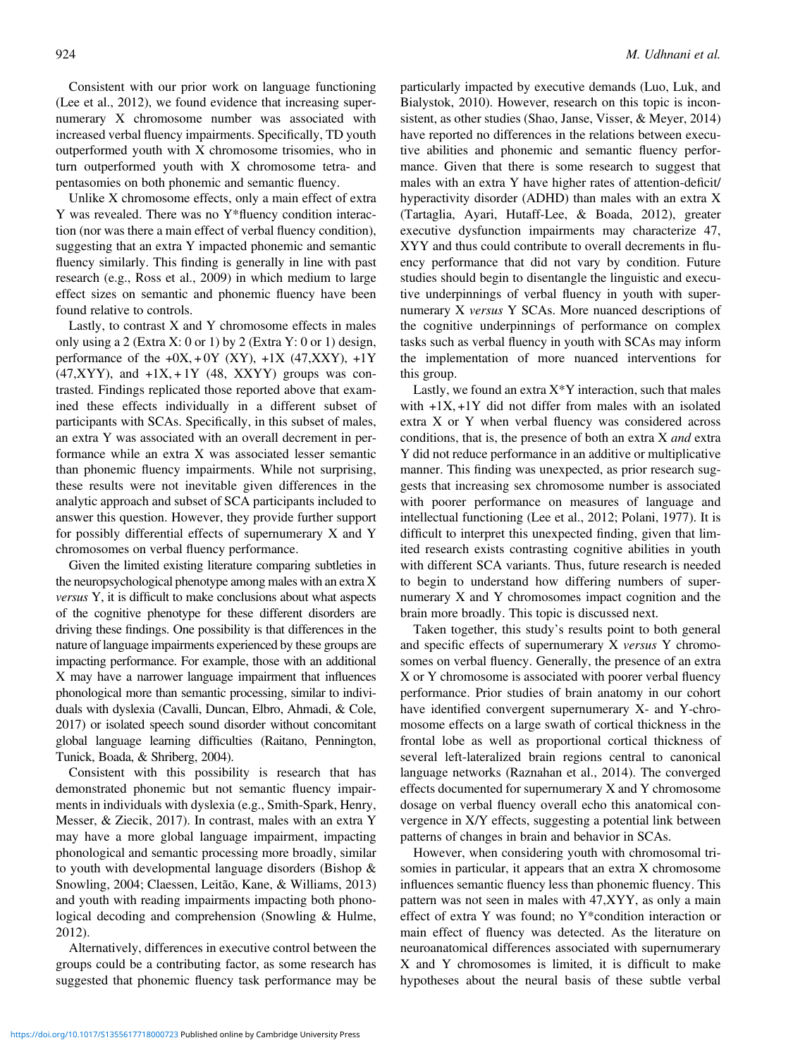Consistent with our prior work on language functioning (Lee et al., [2012](#page-9-0)), we found evidence that increasing supernumerary X chromosome number was associated with increased verbal fluency impairments. Specifically, TD youth outperformed youth with X chromosome trisomies, who in turn outperformed youth with X chromosome tetra- and pentasomies on both phonemic and semantic fluency.

Unlike X chromosome effects, only a main effect of extra Y was revealed. There was no Y\*fluency condition interaction (nor was there a main effect of verbal fluency condition), suggesting that an extra Y impacted phonemic and semantic fluency similarly. This finding is generally in line with past research (e.g., Ross et al., [2009](#page-9-0)) in which medium to large effect sizes on semantic and phonemic fluency have been found relative to controls.

Lastly, to contrast X and Y chromosome effects in males only using a 2 (Extra X: 0 or 1) by 2 (Extra Y: 0 or 1) design, performance of the  $+0X, +0Y$  (XY),  $+1X$  (47,XXY),  $+1Y$  $(47, XYY)$ , and  $+1X, +1Y$   $(48, XXYY)$  groups was contrasted. Findings replicated those reported above that examined these effects individually in a different subset of participants with SCAs. Specifically, in this subset of males, an extra Y was associated with an overall decrement in performance while an extra X was associated lesser semantic than phonemic fluency impairments. While not surprising, these results were not inevitable given differences in the analytic approach and subset of SCA participants included to answer this question. However, they provide further support for possibly differential effects of supernumerary X and Y chromosomes on verbal fluency performance.

Given the limited existing literature comparing subtleties in the neuropsychological phenotype among males with an extra X versus Y, it is difficult to make conclusions about what aspects of the cognitive phenotype for these different disorders are driving these findings. One possibility is that differences in the nature of language impairments experienced by these groups are impacting performance. For example, those with an additional X may have a narrower language impairment that influences phonological more than semantic processing, similar to individuals with dyslexia (Cavalli, Duncan, Elbro, Ahmadi, & Cole, [2017\)](#page-9-0) or isolated speech sound disorder without concomitant global language learning difficulties (Raitano, Pennington, Tunick, Boada, & Shriberg, [2004\)](#page-9-0).

Consistent with this possibility is research that has demonstrated phonemic but not semantic fluency impairments in individuals with dyslexia (e.g., Smith-Spark, Henry, Messer, & Ziecik, [2017\)](#page-10-0). In contrast, males with an extra Y may have a more global language impairment, impacting phonological and semantic processing more broadly, similar to youth with developmental language disorders (Bishop & Snowling, [2004](#page-9-0); Claessen, Leitão, Kane, & Williams, [2013\)](#page-9-0) and youth with reading impairments impacting both phonological decoding and comprehension (Snowling & Hulme, [2012\)](#page-10-0).

Alternatively, differences in executive control between the groups could be a contributing factor, as some research has suggested that phonemic fluency task performance may be

particularly impacted by executive demands (Luo, Luk, and Bialystok, [2010\)](#page-9-0). However, research on this topic is inconsistent, as other studies (Shao, Janse, Visser, & Meyer, [2014\)](#page-9-0) have reported no differences in the relations between executive abilities and phonemic and semantic fluency performance. Given that there is some research to suggest that males with an extra Y have higher rates of attention-deficit/ hyperactivity disorder (ADHD) than males with an extra X (Tartaglia, Ayari, Hutaff-Lee, & Boada, [2012](#page-10-0)), greater executive dysfunction impairments may characterize 47, XYY and thus could contribute to overall decrements in fluency performance that did not vary by condition. Future studies should begin to disentangle the linguistic and executive underpinnings of verbal fluency in youth with supernumerary X versus Y SCAs. More nuanced descriptions of the cognitive underpinnings of performance on complex tasks such as verbal fluency in youth with SCAs may inform the implementation of more nuanced interventions for this group.

Lastly, we found an extra  $X^*Y$  interaction, such that males with  $+1X, +1Y$  did not differ from males with an isolated extra X or Y when verbal fluency was considered across conditions, that is, the presence of both an extra X and extra Y did not reduce performance in an additive or multiplicative manner. This finding was unexpected, as prior research suggests that increasing sex chromosome number is associated with poorer performance on measures of language and intellectual functioning (Lee et al., [2012](#page-9-0); Polani, [1977](#page-9-0)). It is difficult to interpret this unexpected finding, given that limited research exists contrasting cognitive abilities in youth with different SCA variants. Thus, future research is needed to begin to understand how differing numbers of supernumerary X and Y chromosomes impact cognition and the brain more broadly. This topic is discussed next.

Taken together, this study's results point to both general and specific effects of supernumerary X versus Y chromosomes on verbal fluency. Generally, the presence of an extra X or Y chromosome is associated with poorer verbal fluency performance. Prior studies of brain anatomy in our cohort have identified convergent supernumerary X- and Y-chromosome effects on a large swath of cortical thickness in the frontal lobe as well as proportional cortical thickness of several left-lateralized brain regions central to canonical language networks (Raznahan et al., [2014\)](#page-9-0). The converged effects documented for supernumerary X and Y chromosome dosage on verbal fluency overall echo this anatomical convergence in X/Y effects, suggesting a potential link between patterns of changes in brain and behavior in SCAs.

However, when considering youth with chromosomal trisomies in particular, it appears that an extra X chromosome influences semantic fluency less than phonemic fluency. This pattern was not seen in males with 47,XYY, as only a main effect of extra Y was found; no Y\*condition interaction or main effect of fluency was detected. As the literature on neuroanatomical differences associated with supernumerary X and Y chromosomes is limited, it is difficult to make hypotheses about the neural basis of these subtle verbal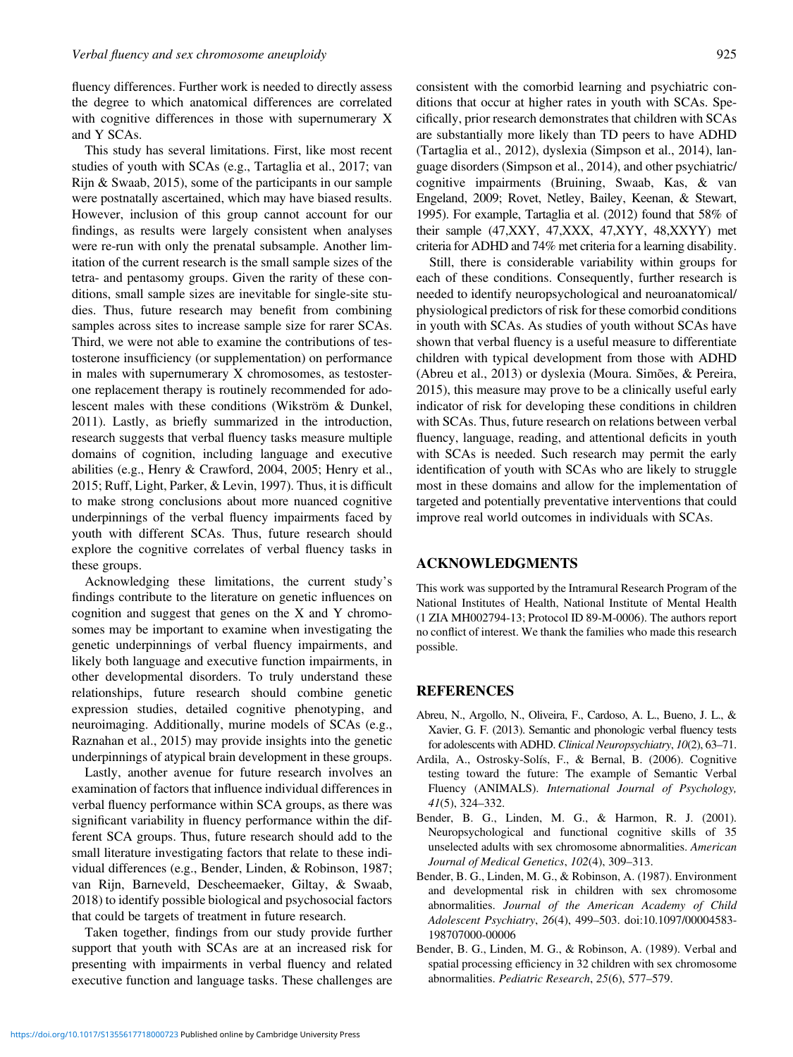<span id="page-8-0"></span>fluency differences. Further work is needed to directly assess the degree to which anatomical differences are correlated with cognitive differences in those with supernumerary X and Y SCAs.

This study has several limitations. First, like most recent studies of youth with SCAs (e.g., Tartaglia et al., [2017;](#page-10-0) van Rijn & Swaab, [2015\)](#page-10-0), some of the participants in our sample were postnatally ascertained, which may have biased results. However, inclusion of this group cannot account for our findings, as results were largely consistent when analyses were re-run with only the prenatal subsample. Another limitation of the current research is the small sample sizes of the tetra- and pentasomy groups. Given the rarity of these conditions, small sample sizes are inevitable for single-site studies. Thus, future research may benefit from combining samples across sites to increase sample size for rarer SCAs. Third, we were not able to examine the contributions of testosterone insufficiency (or supplementation) on performance in males with supernumerary X chromosomes, as testosterone replacement therapy is routinely recommended for adolescent males with these conditions (Wikström & Dunkel, [2011\)](#page-10-0). Lastly, as briefly summarized in the introduction, research suggests that verbal fluency tasks measure multiple domains of cognition, including language and executive abilities (e.g., Henry & Crawford, [2004, 2005](#page-9-0); Henry et al., [2015;](#page-9-0) Ruff, Light, Parker, & Levin, [1997\)](#page-9-0). Thus, it is difficult to make strong conclusions about more nuanced cognitive underpinnings of the verbal fluency impairments faced by youth with different SCAs. Thus, future research should explore the cognitive correlates of verbal fluency tasks in these groups.

Acknowledging these limitations, the current study's findings contribute to the literature on genetic influences on cognition and suggest that genes on the X and Y chromosomes may be important to examine when investigating the genetic underpinnings of verbal fluency impairments, and likely both language and executive function impairments, in other developmental disorders. To truly understand these relationships, future research should combine genetic expression studies, detailed cognitive phenotyping, and neuroimaging. Additionally, murine models of SCAs (e.g., Raznahan et al., [2015](#page-9-0)) may provide insights into the genetic underpinnings of atypical brain development in these groups.

Lastly, another avenue for future research involves an examination of factors that influence individual differences in verbal fluency performance within SCA groups, as there was significant variability in fluency performance within the different SCA groups. Thus, future research should add to the small literature investigating factors that relate to these individual differences (e.g., Bender, Linden, & Robinson, 1987; van Rijn, Barneveld, Descheemaeker, Giltay, & Swaab, [2018\)](#page-10-0) to identify possible biological and psychosocial factors that could be targets of treatment in future research.

Taken together, findings from our study provide further support that youth with SCAs are at an increased risk for presenting with impairments in verbal fluency and related executive function and language tasks. These challenges are

consistent with the comorbid learning and psychiatric conditions that occur at higher rates in youth with SCAs. Specifically, prior research demonstrates that children with SCAs are substantially more likely than TD peers to have ADHD (Tartaglia et al., [2012](#page-10-0)), dyslexia (Simpson et al., [2014](#page-9-0)), language disorders (Simpson et al., [2014](#page-9-0)), and other psychiatric/ cognitive impairments (Bruining, Swaab, Kas, & van Engeland, [2009;](#page-9-0) Rovet, Netley, Bailey, Keenan, & Stewart, [1995\)](#page-9-0). For example, Tartaglia et al. [\(2012](#page-10-0)) found that 58% of their sample (47,XXY, 47,XXX, 47,XYY, 48,XXYY) met criteria for ADHD and 74% met criteria for a learning disability.

Still, there is considerable variability within groups for each of these conditions. Consequently, further research is needed to identify neuropsychological and neuroanatomical/ physiological predictors of risk for these comorbid conditions in youth with SCAs. As studies of youth without SCAs have shown that verbal fluency is a useful measure to differentiate children with typical development from those with ADHD (Abreu et al., 2013) or dyslexia (Moura. Simões, & Pereira, [2015\)](#page-9-0), this measure may prove to be a clinically useful early indicator of risk for developing these conditions in children with SCAs. Thus, future research on relations between verbal fluency, language, reading, and attentional deficits in youth with SCAs is needed. Such research may permit the early identification of youth with SCAs who are likely to struggle most in these domains and allow for the implementation of targeted and potentially preventative interventions that could improve real world outcomes in individuals with SCAs.

## ACKNOWLEDGMENTS

This work was supported by the Intramural Research Program of the National Institutes of Health, National Institute of Mental Health (1 ZIA MH002794-13; Protocol ID 89-M-0006). The authors report no conflict of interest. We thank the families who made this research possible.

#### REFERENCES

- Abreu, N., Argollo, N., Oliveira, F., Cardoso, A. L., Bueno, J. L., & Xavier, G. F. (2013). Semantic and phonologic verbal fluency tests for adolescents with ADHD. Clinical Neuropsychiatry, 10(2), 63–71.
- Ardila, A., Ostrosky‐Solís, F., & Bernal, B. (2006). Cognitive testing toward the future: The example of Semantic Verbal Fluency (ANIMALS). International Journal of Psychology, 41(5), 324–332.
- Bender, B. G., Linden, M. G., & Harmon, R. J. (2001). Neuropsychological and functional cognitive skills of 35 unselected adults with sex chromosome abnormalities. American Journal of Medical Genetics, 102(4), 309–313.
- Bender, B. G., Linden, M. G., & Robinson, A. (1987). Environment and developmental risk in children with sex chromosome abnormalities. Journal of the American Academy of Child Adolescent Psychiatry, 26(4), 499–503. doi:[10.1097/00004583-](https://doi.org/10.1097�/�00004583-198707000-00006) [198707000-00006](https://doi.org/10.1097�/�00004583-198707000-00006)
- Bender, B. G., Linden, M. G., & Robinson, A. (1989). Verbal and spatial processing efficiency in 32 children with sex chromosome abnormalities. Pediatric Research, 25(6), 577–579.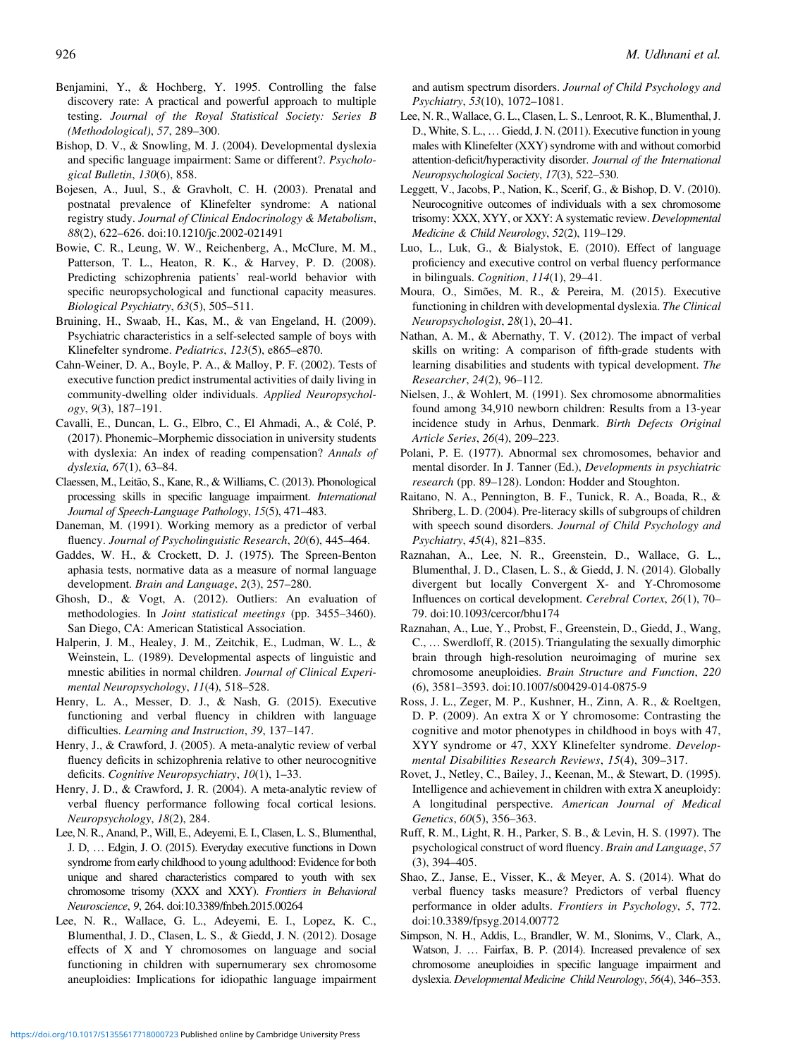- <span id="page-9-0"></span>Benjamini, Y., & Hochberg, Y. 1995. Controlling the false discovery rate: A practical and powerful approach to multiple testing. Journal of the Royal Statistical Society: Series B (Methodological), 57, 289–300.
- Bishop, D. V., & Snowling, M. J. (2004). Developmental dyslexia and specific language impairment: Same or different?. Psychological Bulletin, 130(6), 858.
- Bojesen, A., Juul, S., & Gravholt, C. H. (2003). Prenatal and postnatal prevalence of Klinefelter syndrome: A national registry study. Journal of Clinical Endocrinology & Metabolism, 88(2), 622–626. doi:[10.1210/jc.2002-021491](https://doi.org/10.1210/jc.2002-021491)
- Bowie, C. R., Leung, W. W., Reichenberg, A., McClure, M. M., Patterson, T. L., Heaton, R. K., & Harvey, P. D. (2008). Predicting schizophrenia patients' real-world behavior with specific neuropsychological and functional capacity measures. Biological Psychiatry, 63(5), 505–511.
- Bruining, H., Swaab, H., Kas, M., & van Engeland, H. (2009). Psychiatric characteristics in a self-selected sample of boys with Klinefelter syndrome. Pediatrics, 123(5), e865–e870.
- Cahn-Weiner, D. A., Boyle, P. A., & Malloy, P. F. (2002). Tests of executive function predict instrumental activities of daily living in community-dwelling older individuals. Applied Neuropsychol- $\log y$ , 9(3), 187–191.
- Cavalli, E., Duncan, L. G., Elbro, C., El Ahmadi, A., & Colé, P. (2017). Phonemic–Morphemic dissociation in university students with dyslexia: An index of reading compensation? Annals of dyslexia, 67(1), 63–84.
- Claessen, M., Leitão, S., Kane, R., & Williams, C. (2013). Phonological processing skills in specific language impairment. International Journal of Speech-Language Pathology, 15(5), 471–483.
- Daneman, M. (1991). Working memory as a predictor of verbal fluency. Journal of Psycholinguistic Research, 20(6), 445-464.
- Gaddes, W. H., & Crockett, D. J. (1975). The Spreen-Benton aphasia tests, normative data as a measure of normal language development. Brain and Language, 2(3), 257–280.
- Ghosh, D., & Vogt, A. (2012). Outliers: An evaluation of methodologies. In Joint statistical meetings (pp. 3455–3460). San Diego, CA: American Statistical Association.
- Halperin, J. M., Healey, J. M., Zeitchik, E., Ludman, W. L., & Weinstein, L. (1989). Developmental aspects of linguistic and mnestic abilities in normal children. Journal of Clinical Experimental Neuropsychology, 11(4), 518–528.
- Henry, L. A., Messer, D. J., & Nash, G. (2015). Executive functioning and verbal fluency in children with language difficulties. Learning and Instruction, 39, 137–147.
- Henry, J., & Crawford, J. (2005). A meta-analytic review of verbal fluency deficits in schizophrenia relative to other neurocognitive deficits. Cognitive Neuropsychiatry, 10(1), 1–33.
- Henry, J. D., & Crawford, J. R. (2004). A meta-analytic review of verbal fluency performance following focal cortical lesions. Neuropsychology, 18(2), 284.
- Lee, N. R., Anand, P., Will, E., Adeyemi, E. I., Clasen, L. S., Blumenthal, J. D, … Edgin, J. O. (2015). Everyday executive functions in Down syndrome from early childhood to young adulthood: Evidence for both unique and shared characteristics compared to youth with sex chromosome trisomy (XXX and XXY). Frontiers in Behavioral Neuroscience, 9, 264. doi:[10.3389/fnbeh.2015.00264](https://doi.org/10.3389/fnbeh.2015.00264)
- Lee, N. R., Wallace, G. L., Adeyemi, E. I., Lopez, K. C., Blumenthal, J. D., Clasen, L. S., & Giedd, J. N. (2012). Dosage effects of X and Y chromosomes on language and social functioning in children with supernumerary sex chromosome aneuploidies: Implications for idiopathic language impairment

and autism spectrum disorders. Journal of Child Psychology and Psychiatry, 53(10), 1072–1081.

- Lee, N. R., Wallace, G. L., Clasen, L. S., Lenroot, R. K., Blumenthal, J. D., White, S. L., … Giedd, J. N. (2011). Executive function in young males with Klinefelter (XXY) syndrome with and without comorbid attention-deficit/hyperactivity disorder. Journal of the International Neuropsychological Society, 17(3), 522–530.
- Leggett, V., Jacobs, P., Nation, K., Scerif, G., & Bishop, D. V. (2010). Neurocognitive outcomes of individuals with a sex chromosome trisomy: XXX, XYY, or XXY: A systematic review. Developmental Medicine & Child Neurology, 52(2), 119–129.
- Luo, L., Luk, G., & Bialystok, E. (2010). Effect of language proficiency and executive control on verbal fluency performance in bilinguals. Cognition, 114(1), 29–41.
- Moura, O., Simões, M. R., & Pereira, M. (2015). Executive functioning in children with developmental dyslexia. The Clinical Neuropsychologist, 28(1), 20–41.
- Nathan, A. M., & Abernathy, T. V. (2012). The impact of verbal skills on writing: A comparison of fifth-grade students with learning disabilities and students with typical development. The Researcher, 24(2), 96–112.
- Nielsen, J., & Wohlert, M. (1991). Sex chromosome abnormalities found among 34,910 newborn children: Results from a 13-year incidence study in Arhus, Denmark. Birth Defects Original Article Series, 26(4), 209–223.
- Polani, P. E. (1977). Abnormal sex chromosomes, behavior and mental disorder. In J. Tanner (Ed.), Developments in psychiatric research (pp. 89–128). London: Hodder and Stoughton.
- Raitano, N. A., Pennington, B. F., Tunick, R. A., Boada, R., & Shriberg, L. D. (2004). Pre‐literacy skills of subgroups of children with speech sound disorders. Journal of Child Psychology and Psychiatry, 45(4), 821–835.
- Raznahan, A., Lee, N. R., Greenstein, D., Wallace, G. L., Blumenthal, J. D., Clasen, L. S., & Giedd, J. N. (2014). Globally divergent but locally Convergent X- and Y-Chromosome Influences on cortical development. Cerebral Cortex, 26(1), 70– 79. doi[:10.1093/cercor/bhu174](https://doi.org/10.1093/cercor/bhu174)
- Raznahan, A., Lue, Y., Probst, F., Greenstein, D., Giedd, J., Wang, C., … Swerdloff, R. (2015). Triangulating the sexually dimorphic brain through high-resolution neuroimaging of murine sex chromosome aneuploidies. Brain Structure and Function, 220 (6), 3581–3593. doi:[10.1007/s00429-014-0875-9](https://doi.org/10.1007/s00429-014-0875-9)
- Ross, J. L., Zeger, M. P., Kushner, H., Zinn, A. R., & Roeltgen, D. P. (2009). An extra X or Y chromosome: Contrasting the cognitive and motor phenotypes in childhood in boys with 47, XYY syndrome or 47, XXY Klinefelter syndrome. Developmental Disabilities Research Reviews, 15(4), 309–317.
- Rovet, J., Netley, C., Bailey, J., Keenan, M., & Stewart, D. (1995). Intelligence and achievement in children with extra X aneuploidy: A longitudinal perspective. American Journal of Medical Genetics, 60(5), 356–363.
- Ruff, R. M., Light, R. H., Parker, S. B., & Levin, H. S. (1997). The psychological construct of word fluency. Brain and Language, 57 (3), 394–405.
- Shao, Z., Janse, E., Visser, K., & Meyer, A. S. (2014). What do verbal fluency tasks measure? Predictors of verbal fluency performance in older adults. Frontiers in Psychology, 5, 772. doi:[10.3389/fpsyg.2014.00772](https://doi.org/10.3389/fpsyg.2014.00772)
- Simpson, N. H., Addis, L., Brandler, W. M., Slonims, V., Clark, A., Watson, J. ... Fairfax, B. P. (2014). Increased prevalence of sex chromosome aneuploidies in specific language impairment and dyslexia. Developmental Medicine Child Neurology, 56(4), 346–353.